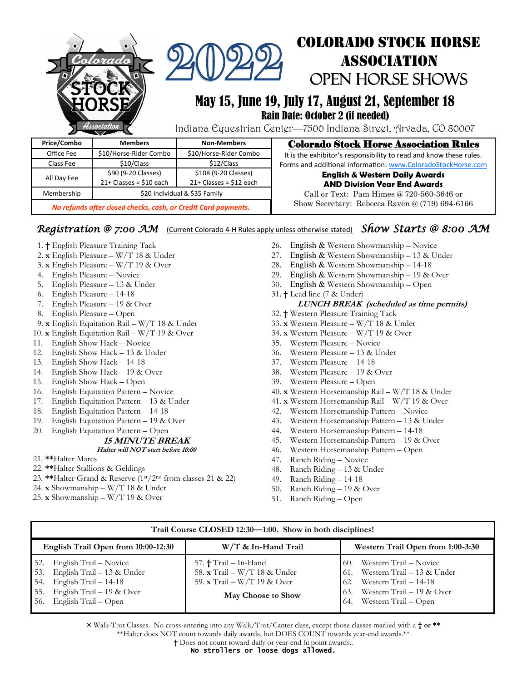| clorado<br>Hssociation |                               |                         | <b>COLORADO STOCK HORSE</b><br><b>ASSOCIATION</b><br>OPEN HORSE SHOWS<br>May 15, June 19, July 17, August 21, September 18<br>Rain Date: October 2 (if needed)<br>Indiana Equestrian Center—7500 Indiana Street, Arvada, CO 80007 |
|------------------------|-------------------------------|-------------------------|-----------------------------------------------------------------------------------------------------------------------------------------------------------------------------------------------------------------------------------|
| Price/Combo            | <b>Members</b>                | <b>Non-Members</b>      | <b>Colorado Stock Horse Association Rules</b>                                                                                                                                                                                     |
| Office Fee             | \$10/Horse-Rider Combo        | \$10/Horse-Rider Combo  | It is the exhibitor's responsibility to read and know these rules.                                                                                                                                                                |
| Class Fee              | \$10/Class                    | \$12/Class              | Forms and additional information: www.ColoradoStockHorse.com                                                                                                                                                                      |
| All Day Fee            | \$90 (9-20 Classes)           | \$108 (9-20 Classes)    | <b>English &amp; Western Daily Awards</b>                                                                                                                                                                                         |
|                        | $21+ Classes = $10 each$      | $21+Classes = $12$ each | <b>AND Division Year End Awards</b>                                                                                                                                                                                               |
| Membership             | \$20 Individual & \$35 Family |                         | Call or Text: Pam Himes $@720-560-3646$ or                                                                                                                                                                                        |

Membership | \$20 Individual & \$35 Family

*No refunds after closed checks, cash, or Credit Card payments.*

### *Registration @ 7:00 AM* (Current Colorado 4-H Rules apply unless otherwise stated) *Show Starts @ 8:00 AM*

- 1. **†** English Pleasure Training Tack
- 2. **x** English Pleasure W/T 18 & Under
- 3. **x** English Pleasure W/T 19 & Over
- 4. English Pleasure Novice
- 5. English Pleasure 13 & Under
- 6. English Pleasure 14-18
- 7. English Pleasure 19 & Over
- 8. English Pleasure Open
- 9. **x** English Equitation Rail W/T 18 & Under
- 10. **x** English Equitation Rail W/T 19 & Over
- 11. English Show Hack Novice
- 12. English Show Hack 13 & Under
- 13. English Show Hack 14-18
- 14. English Show Hack 19 & Over
- 15. English Show Hack Open
- 16. English Equitation Pattern Novice
- 17. English Equitation Pattern 13 & Under
- 18. English Equitation Pattern 14-18
- 19. English Equitation Pattern 19 & Over
- 20. English Equitation Pattern Open

### **15 MINUTE BREAK**

#### **Halter will NOT start before 10:00**

- 21. **\*\***Halter Mares
- 22. **\*\***Halter Stallions & Geldings
- 23. **\*\***Halter Grand & Reserve (1st/2nd from classes 21 & 22)
- 24. **x** Showmanship W/T 18 & Under
- 25. **x** Showmanship W/T 19 & Over

26. English & Western Showmanship - Novice

Show Secretary: Rebecca Raven @ (719) 694-6166

- 27. English & Western Showmanship 13 & Under
- 28. English & Western Showmanship 14-18
- 29. English & Western Showmanship 19 & Over
- 30. English & Western Showmanship Open
- 31. **†** Lead line (7 & Under) **LUNCH BREAK (scheduled as time permits)**
- 32. **†** Western Pleasure Training Tack
- 33. **x** Western Pleasure W/T 18 & Under
- 34. **x** Western Pleasure W/T 19 & Over
- 35. Western Pleasure Novice
- 36. Western Pleasure 13 & Under
- 37. Western Pleasure 14-18
- 38. Western Pleasure 19 & Over
- 39. Western Pleasure Open
- 40. **x** Western Horsemanship Rail W/T 18 & Under
- 41. **x** Western Horsemanship Rail W/T 19 & Over
- 42. Western Horsemanship Pattern Novice
- 43. Western Horsemanship Pattern 13 & Under
- 44. Western Horsemanship Pattern 14-18
- 45. Western Horsemanship Pattern 19 & Over
- 46. Western Horsemanship Pattern Open
- 47. Ranch Riding Novice
- 48. Ranch Riding 13 & Under
- 49. Ranch Riding 14-18
- 50. Ranch Riding 19 & Over
- 51. Ranch Riding Open

| Trail Course CLOSED 12:30-1:00. Show in both disciplines!                                                                                                    |                                                                                                                    |                                                                                                                                                                       |  |  |  |  |
|--------------------------------------------------------------------------------------------------------------------------------------------------------------|--------------------------------------------------------------------------------------------------------------------|-----------------------------------------------------------------------------------------------------------------------------------------------------------------------|--|--|--|--|
| English Trail Open from 10:00-12:30                                                                                                                          | W/T & In-Hand Trail                                                                                                | Western Trail Open from 1:00-3:30                                                                                                                                     |  |  |  |  |
| English Trail – Novice<br>52.<br>53. English Trail $-13$ & Under<br>54. English Trail $-14-18$<br>55. English Trail $-19$ & Over<br>56. English Trail - Open | 57. $\dagger$ Trail – In-Hand<br>58. x Trail - W/T 18 & Under<br>59. x Trail - W/T 19 & Over<br>May Choose to Show | Western Trail – Novice<br>60.<br>Western Trail – 13 & Under<br>61.<br>Western Trail – 14-18<br>62.<br>Western Trail – 19 & Over<br>63.<br>Western Trail – Open<br>64. |  |  |  |  |

**×** Walk-Trot Classes. No cross-entering into any Walk/Trot/Canter class, except those classes marked with a **† or \*\*** \*\*Halter does NOT count towards daily awards, but DOES COUNT towards year-end awards.\*\* **†** Does not count toward daily or year-end hi point awards..

No strollers or loose dogs allowed.